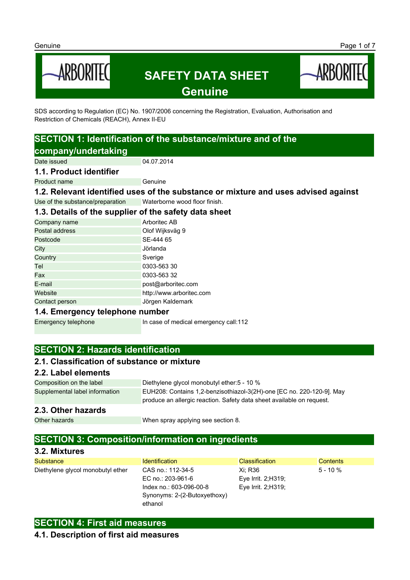

SDS according to Regulation (EC) No. 1907/2006 concerning the Registration, Evaluation, Authorisation and Restriction of Chemicals (REACH), Annex II-EU

# **SECTION 1: Identification of the substance/mixture and of the company/undertaking**

Date issued 04.07.2014

#### **1.1. Product identifier**

Product name

**1.2. Relevant identified uses of the substance or mixture and uses advised against**

Use of the substance/preparation Waterborne wood floor finish.

# **1.3. Details of the supplier of the safety data sheet**

| Company name   | Arboritec AB             |
|----------------|--------------------------|
| Postal address | Olof Wijksväg 9          |
| Postcode       | SE-444 65                |
| City           | Jörlanda                 |
| Country        | Sverige                  |
| Tel            | 0303-563 30              |
| Fax            | 0303-563 32              |
| E-mail         | post@arboritec.com       |
| Website        | http://www.arboritec.com |
| Contact person | Jörgen Kaldemark         |
|                |                          |

### **1.4. Emergency telephone number**

Emergency telephone In case of medical emergency call:112

# **SECTION 2: Hazards identification**

### **2.1. Classification of substance or mixture**

### **2.2. Label elements**

Composition on the label Diethylene glycol monobutyl ether:5 - 10 % Supplemental label information EUH208: Contains 1,2-benzisothiazol-3(2H)-one [EC no. 220-120-9]. May produce an allergic reaction. Safety data sheet available on request.

### **2.3. Other hazards**

Other hazards **When spray applying see section 8.** 

# **SECTION 3: Composition/information on ingredients**

### **3.2. Mixtures**

| Substance                         | <b>Identification</b>        | <b>Classification</b> | Contents    |
|-----------------------------------|------------------------------|-----------------------|-------------|
| Diethylene glycol monobutyl ether | CAS no.: 112-34-5            | Xi: R36               | $5 - 10 \%$ |
|                                   | EC no.: 203-961-6            | Eye Irrit. 2;H319;    |             |
|                                   | Index no.: 603-096-00-8      | Eye Irrit. 2;H319;    |             |
|                                   | Synonyms: 2-(2-Butoxyethoxy) |                       |             |
|                                   | ethanol                      |                       |             |

# **SECTION 4: First aid measures**

### **4.1. Description of first aid measures**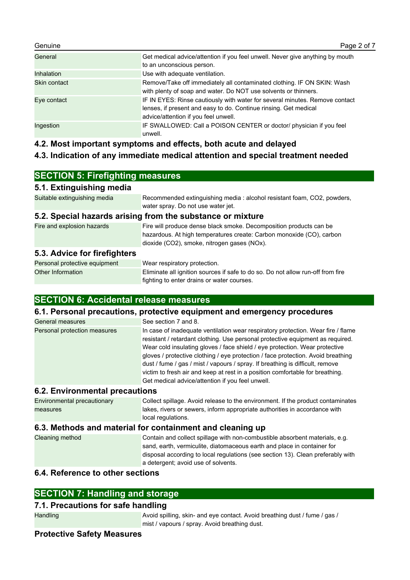| Genuine           | Page 2 of 7                                                                                                                                                                             |
|-------------------|-----------------------------------------------------------------------------------------------------------------------------------------------------------------------------------------|
| General           | Get medical advice/attention if you feel unwell. Never give anything by mouth<br>to an unconscious person.                                                                              |
| <b>Inhalation</b> | Use with adequate ventilation.                                                                                                                                                          |
| Skin contact      | Remove/Take off immediately all contaminated clothing. IF ON SKIN: Wash<br>with plenty of soap and water. Do NOT use solvents or thinners.                                              |
| Eye contact       | IF IN EYES: Rinse cautiously with water for several minutes. Remove contact<br>lenses, if present and easy to do. Continue rinsing. Get medical<br>advice/attention if you feel unwell. |
| Ingestion         | IF SWALLOWED: Call a POISON CENTER or doctor/ physician if you feel<br>unwell.                                                                                                          |

**4.2. Most important symptoms and effects, both acute and delayed**

# **4.3. Indication of any immediate medical attention and special treatment needed**

# **SECTION 5: Firefighting measures**

### **5.1. Extinguishing media**

Suitable extinguishing media Recommended extinguishing media : alcohol resistant foam, CO2, powders, water spray. Do not use water jet.

### **5.2. Special hazards arising from the substance or mixture**

| Fire and explosion hazards | Fire will produce dense black smoke. Decomposition products can be   |
|----------------------------|----------------------------------------------------------------------|
|                            | hazardous. At high temperatures create: Carbon monoxide (CO), carbon |
|                            | dioxide (CO2), smoke, nitrogen gases (NOx).                          |
|                            |                                                                      |

# **5.3. Advice for firefighters**

| Personal protective equipment | Wear respiratory protection.                                                    |
|-------------------------------|---------------------------------------------------------------------------------|
| Other Information             | Eliminate all ignition sources if safe to do so. Do not allow run-off from fire |
|                               | fighting to enter drains or water courses.                                      |

# **SECTION 6: Accidental release measures**

### **6.1. Personal precautions, protective equipment and emergency procedures**

| General measures             | See section 7 and 8.                                                                                                                                                                                                                                                                                                                                                                                                                                                                                                                                        |
|------------------------------|-------------------------------------------------------------------------------------------------------------------------------------------------------------------------------------------------------------------------------------------------------------------------------------------------------------------------------------------------------------------------------------------------------------------------------------------------------------------------------------------------------------------------------------------------------------|
| Personal protection measures | In case of inadequate ventilation wear respiratory protection. Wear fire / flame<br>resistant / retardant clothing. Use personal protective equipment as required.<br>Wear cold insulating gloves / face shield / eye protection. Wear protective<br>gloves / protective clothing / eye protection / face protection. Avoid breathing<br>dust / fume / gas / mist / vapours / spray. If breathing is difficult, remove<br>victim to fresh air and keep at rest in a position comfortable for breathing.<br>Get medical advice/attention if you feel unwell. |

### **6.2. Environmental precautions**

| Environmental precautionary | Collect spillage. Avoid release to the environment. If the product contaminates |
|-----------------------------|---------------------------------------------------------------------------------|
| measures                    | lakes, rivers or sewers, inform appropriate authorities in accordance with      |
|                             | local regulations.                                                              |

### **6.3. Methods and material for containment and cleaning up**

| Cleaning method | Contain and collect spillage with non-combustible absorbent materials, e.g.<br>sand, earth, vermiculite, diatomaceous earth and place in container for<br>disposal according to local regulations (see section 13). Clean preferably with<br>a detergent; avoid use of solvents. |
|-----------------|----------------------------------------------------------------------------------------------------------------------------------------------------------------------------------------------------------------------------------------------------------------------------------|
|                 |                                                                                                                                                                                                                                                                                  |

# **6.4. Reference to other sections**

# **SECTION 7: Handling and storage**

# **7.1. Precautions for safe handling**

Handling **Avoid spilling, skin- and eye contact. Avoid breathing dust / fume / gas /** mist / vapours / spray. Avoid breathing dust.

### **Protective Safety Measures**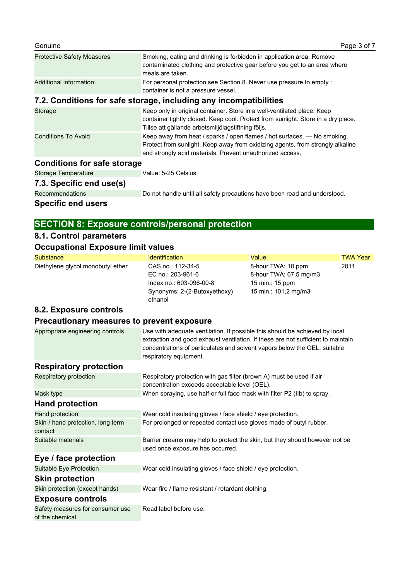| <b>Protective Safety Measures</b>                                 | Smoking, eating and drinking is forbidden in application area. Remove<br>contaminated clothing and protective gear before you get to an area where<br>meals are taken.                                                  |  |
|-------------------------------------------------------------------|-------------------------------------------------------------------------------------------------------------------------------------------------------------------------------------------------------------------------|--|
| Additional information                                            | For personal protection see Section 8. Never use pressure to empty:<br>container is not a pressure vessel.                                                                                                              |  |
| 7.2. Conditions for safe storage, including any incompatibilities |                                                                                                                                                                                                                         |  |
| Storage                                                           | Keep only in original container. Store in a well-ventilated place. Keep<br>container tightly closed. Keep cool. Protect from sunlight. Store in a dry place.<br>Tillse att gällande arbetsmiljölagstiftning följs.      |  |
| <b>Conditions To Avoid</b>                                        | Keep away from heat / sparks / open flames / hot surfaces. - No smoking.<br>Protect from sunlight. Keep away from oxidizing agents, from strongly alkaline<br>and strongly acid materials. Prevent unauthorized access. |  |
| <b>Conditions for safe storage</b>                                |                                                                                                                                                                                                                         |  |
| <b>Storage Temperature</b>                                        | Value: 5-25 Celsius                                                                                                                                                                                                     |  |
| 7.3. Specific end use(s)                                          |                                                                                                                                                                                                                         |  |
| <b>Recommendations</b>                                            | Do not handle until all safety precautions have been read and understood.                                                                                                                                               |  |

**Specific end users**

# **SECTION 8: Exposure controls/personal protection**

# **8.1. Control parameters**

# **Occupational Exposure limit values**

| <b>Substance</b>                                    | <b>Identification</b>                                                                                                                                                                                                                                                  | Value                                                                                   | <b>TWA Year</b> |
|-----------------------------------------------------|------------------------------------------------------------------------------------------------------------------------------------------------------------------------------------------------------------------------------------------------------------------------|-----------------------------------------------------------------------------------------|-----------------|
| Diethylene glycol monobutyl ether                   | CAS no.: 112-34-5<br>EC no.: 203-961-6<br>Index no.: 603-096-00-8<br>Synonyms: 2-(2-Butoxyethoxy)<br>ethanol                                                                                                                                                           | 8-hour TWA: 10 ppm<br>8-hour TWA: 67,5 mg/m3<br>15 min.: 15 ppm<br>15 min.: 101,2 mg/m3 | 2011            |
| 8.2. Exposure controls                              |                                                                                                                                                                                                                                                                        |                                                                                         |                 |
| Precautionary measures to prevent exposure          |                                                                                                                                                                                                                                                                        |                                                                                         |                 |
| Appropriate engineering controls                    | Use with adequate ventilation. If possible this should be achieved by local<br>extraction and good exhaust ventilation. If these are not sufficient to maintain<br>concentrations of particulates and solvent vapors below the OEL, suitable<br>respiratory equipment. |                                                                                         |                 |
| <b>Respiratory protection</b>                       |                                                                                                                                                                                                                                                                        |                                                                                         |                 |
| Respiratory protection                              | Respiratory protection with gas filter (brown A) must be used if air<br>concentration exceeds acceptable level (OEL).                                                                                                                                                  |                                                                                         |                 |
| Mask type                                           | When spraying, use half-or full face mask with filter P2 (IIb) to spray.                                                                                                                                                                                               |                                                                                         |                 |
| <b>Hand protection</b>                              |                                                                                                                                                                                                                                                                        |                                                                                         |                 |
| Hand protection                                     | Wear cold insulating gloves / face shield / eye protection.                                                                                                                                                                                                            |                                                                                         |                 |
| Skin-/ hand protection, long term<br>contact        | For prolonged or repeated contact use gloves made of butyl rubber.                                                                                                                                                                                                     |                                                                                         |                 |
| Suitable materials                                  | Barrier creams may help to protect the skin, but they should however not be<br>used once exposure has occurred.                                                                                                                                                        |                                                                                         |                 |
| Eye / face protection                               |                                                                                                                                                                                                                                                                        |                                                                                         |                 |
| Suitable Eye Protection                             | Wear cold insulating gloves / face shield / eye protection.                                                                                                                                                                                                            |                                                                                         |                 |
| <b>Skin protection</b>                              |                                                                                                                                                                                                                                                                        |                                                                                         |                 |
| Skin protection (except hands)                      | Wear fire / flame resistant / retardant clothing.                                                                                                                                                                                                                      |                                                                                         |                 |
| <b>Exposure controls</b>                            |                                                                                                                                                                                                                                                                        |                                                                                         |                 |
| Safety measures for consumer use<br>of the chemical | Read label before use.                                                                                                                                                                                                                                                 |                                                                                         |                 |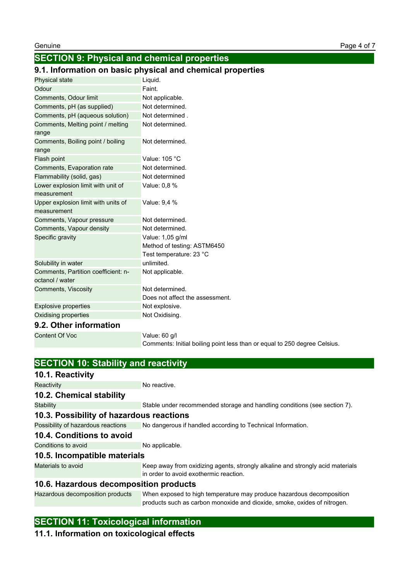# **SECTION 9: Physical and chemical properties**

# **9.1. Information on basic physical and chemical properties**

| Physical state                                         | Liquid.                                                                   |
|--------------------------------------------------------|---------------------------------------------------------------------------|
| Odour                                                  | Faint.                                                                    |
| Comments, Odour limit                                  | Not applicable.                                                           |
| Comments, pH (as supplied)                             | Not determined.                                                           |
| Comments, pH (aqueous solution)                        | Not determined.                                                           |
| Comments, Melting point / melting<br>range             | Not determined.                                                           |
| Comments, Boiling point / boiling<br>range             | Not determined.                                                           |
| Flash point                                            | Value: 105 °C                                                             |
| Comments, Evaporation rate                             | Not determined.                                                           |
| Flammability (solid, gas)                              | Not determined                                                            |
| Lower explosion limit with unit of                     | Value: 0,8 %                                                              |
| measurement                                            |                                                                           |
| Upper explosion limit with units of<br>measurement     | Value: 9,4 %                                                              |
| Comments, Vapour pressure                              | Not determined.                                                           |
| Comments, Vapour density                               | Not determined.                                                           |
| Specific gravity                                       | Value: 1,05 g/ml                                                          |
|                                                        | Method of testing: ASTM6450                                               |
|                                                        | Test temperature: 23 °C                                                   |
| Solubility in water                                    | unlimited.                                                                |
| Comments, Partition coefficient: n-<br>octanol / water | Not applicable.                                                           |
| Comments, Viscosity                                    | Not determined.                                                           |
|                                                        | Does not affect the assessment.                                           |
| <b>Explosive properties</b>                            | Not explosive.                                                            |
| Oxidising properties                                   | Not Oxidising.                                                            |
| 9.2. Other information                                 |                                                                           |
| <b>Content Of Voc</b>                                  | Value: 60 g/l                                                             |
|                                                        | Comments: Initial boiling point less than or equal to 250 degree Celsius. |

| <b>SECTION 10: Stability and reactivity</b> |                                                                                                                          |  |
|---------------------------------------------|--------------------------------------------------------------------------------------------------------------------------|--|
| 10.1. Reactivity                            |                                                                                                                          |  |
| Reactivity                                  | No reactive.                                                                                                             |  |
| 10.2. Chemical stability                    |                                                                                                                          |  |
| <b>Stability</b>                            | Stable under recommended storage and handling conditions (see section 7).                                                |  |
| 10.3. Possibility of hazardous reactions    |                                                                                                                          |  |
| Possibility of hazardous reactions          | No dangerous if handled according to Technical Information.                                                              |  |
| 10.4. Conditions to avoid                   |                                                                                                                          |  |
| Conditions to avoid                         | No applicable.                                                                                                           |  |
| 10.5. Incompatible materials                |                                                                                                                          |  |
| Materials to avoid                          | Keep away from oxidizing agents, strongly alkaline and strongly acid materials<br>in order to avoid exothermic reaction. |  |
| 10.6. Hazardous decomposition products      |                                                                                                                          |  |
| Hazardous decomposition products            | When exposed to high temperature may produce hazardous decomposition                                                     |  |

products such as carbon monoxide and dioxide, smoke, oxides of nitrogen.

# **SECTION 11: Toxicological information**

# **11.1. Information on toxicological effects**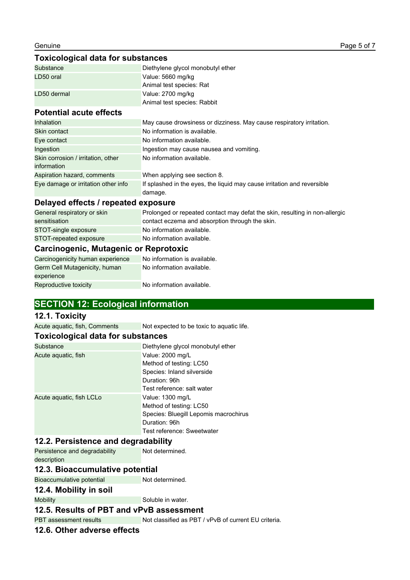### **Toxicological data for substances**

| Substance   | Diethylene glycol monobutyl ether |
|-------------|-----------------------------------|
| LD50 oral   | Value: 5660 mg/kg                 |
|             | Animal test species: Rat          |
| LD50 dermal | Value: 2700 mg/kg                 |
|             | Animal test species: Rabbit       |

# **Potential acute effects**

| <b>Inhalation</b>                   | May cause drowsiness or dizziness. May cause respiratory irritation.               |
|-------------------------------------|------------------------------------------------------------------------------------|
| Skin contact                        | No information is available.                                                       |
| Eye contact                         | No information available.                                                          |
| Ingestion                           | Ingestion may cause nausea and vomiting.                                           |
| Skin corrosion / irritation, other  | No information available.                                                          |
| information                         |                                                                                    |
| Aspiration hazard, comments         | When applying see section 8.                                                       |
| Eye damage or irritation other info | If splashed in the eyes, the liquid may cause irritation and reversible<br>damage. |

### **Delayed effects / repeated exposure**

| General respiratory or skin           | Prolonged or repeated contact may defat the skin, resulting in non-allergic |
|---------------------------------------|-----------------------------------------------------------------------------|
| sensitisation                         | contact eczema and absorption through the skin.                             |
| STOT-single exposure                  | No information available.                                                   |
| STOT-repeated exposure                | No information available.                                                   |
| Carcinogenic, Mutagenic or Reprotoxic |                                                                             |
| Carcinogenicity human experience      | No information is available.                                                |

#### Carcinogenicity human experience No information is available. Germ Cell Mutagenicity, human experience No information available.

Reproductive toxicity No information available.

# **SECTION 12: Ecological information**

### **12.1. Toxicity**

Acute aquatic, fish, Comments Not expected to be toxic to aquatic life.

### **Toxicological data for substances**

| Substance                | Diethylene glycol monobutyl ether     |
|--------------------------|---------------------------------------|
| Acute aquatic, fish      | Value: 2000 mg/L                      |
|                          | Method of testing: LC50               |
|                          | Species: Inland silverside            |
|                          | Duration: 96h                         |
|                          | Test reference: salt water            |
| Acute aguatic, fish LCLo | Value: 1300 mg/L                      |
|                          | Method of testing: LC50               |
|                          | Species: Bluegill Lepomis macrochirus |
|                          | Duration: 96h                         |
|                          | Test reference: Sweetwater            |

#### **12.2. Persistence and degradability**

Persistence and degradability description Not determined.

### **12.3. Bioaccumulative potential**

Bioaccumulative potential Not determined.

### **12.4. Mobility in soil**

Mobility Soluble in water.

### **12.5. Results of PBT and vPvB assessment**

PBT assessment results Not classified as PBT / vPvB of current EU criteria.

### **12.6. Other adverse effects**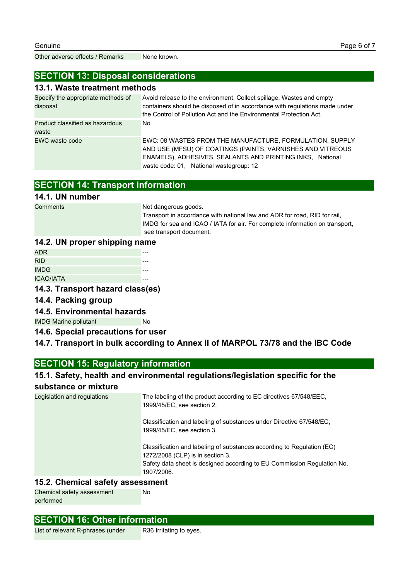Other adverse effects / Remarks None known.

### **SECTION 13: Disposal considerations**

### **13.1. Waste treatment methods**

| Specify the appropriate methods of<br>disposal | Avoid release to the environment. Collect spillage. Wastes and empty<br>containers should be disposed of in accordance with regulations made under<br>the Control of Pollution Act and the Environmental Protection Act.       |
|------------------------------------------------|--------------------------------------------------------------------------------------------------------------------------------------------------------------------------------------------------------------------------------|
| Product classified as hazardous<br>waste       | No.                                                                                                                                                                                                                            |
| EWC waste code                                 | EWC: 08 WASTES FROM THE MANUFACTURE, FORMULATION, SUPPLY<br>AND USE (MFSU) OF COATINGS (PAINTS, VARNISHES AND VITREOUS<br>ENAMELS), ADHESIVES, SEALANTS AND PRINTING INKS, National<br>waste code: 01, National wastegroup: 12 |

# **SECTION 14: Transport information**

### **14.1. UN number**

Comments Not dangerous goods.

Transport in accordance with national law and ADR for road, RID for rail, IMDG for sea and ICAO / IATA for air. For complete information on transport, see transport document.

### **14.2. UN proper shipping name**

| ADR.             |  |
|------------------|--|
| <b>RID</b>       |  |
| <b>IMDG</b>      |  |
| <b>ICAO/IATA</b> |  |

**14.3. Transport hazard class(es)**

### **14.4. Packing group**

**14.5. Environmental hazards**

IMDG Marine pollutant No

**14.6. Special precautions for user**

### **14.7. Transport in bulk according to Annex II of MARPOL 73/78 and the IBC Code**

# **SECTION 15: Regulatory information**

### **15.1. Safety, health and environmental regulations/legislation specific for the**

### **substance or mixture**

| Legislation and regulations | The labeling of the product according to EC directives 67/548/EEC.<br>1999/45/EC, see section 2.                                                                                                    |
|-----------------------------|-----------------------------------------------------------------------------------------------------------------------------------------------------------------------------------------------------|
|                             | Classification and labeling of substances under Directive 67/548/EC.<br>1999/45/EC, see section 3.                                                                                                  |
|                             | Classification and labeling of substances according to Regulation (EC)<br>1272/2008 (CLP) is in section 3.<br>Safety data sheet is designed according to EU Commission Regulation No.<br>1907/2006. |

### **15.2. Chemical safety assessment**

Chemical safety assessment performed

### **SECTION 16: Other information**

List of relevant R-phrases (under R36 Irritating to eyes.

No